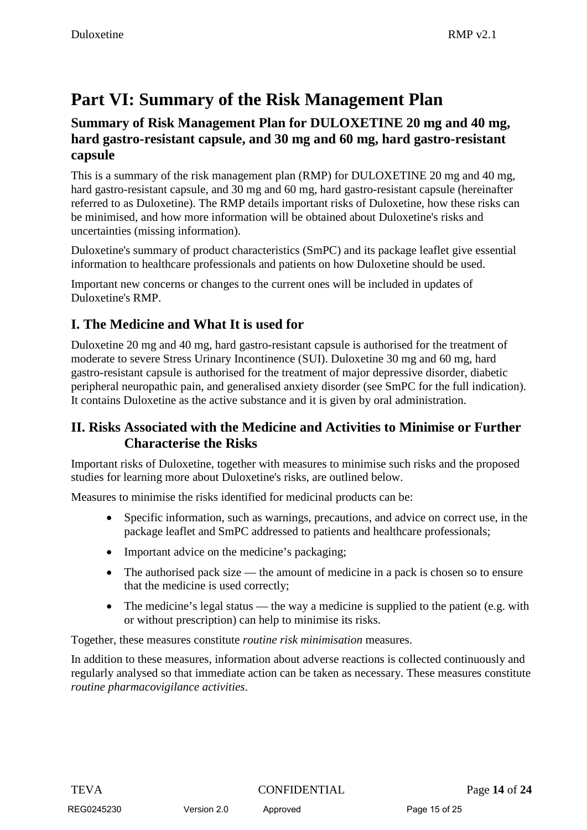# **Part VI: Summary of the Risk Management Plan**

#### **Summary of Risk Management Plan for DULOXETINE 20 mg and 40 mg, hard gastro-resistant capsule, and 30 mg and 60 mg, hard gastro-resistant capsule**

This is a summary of the risk management plan (RMP) for DULOXETINE 20 mg and 40 mg, hard gastro-resistant capsule, and 30 mg and 60 mg, hard gastro-resistant capsule (hereinafter referred to as Duloxetine). The RMP details important risks of Duloxetine, how these risks can be minimised, and how more information will be obtained about Duloxetine's risks and uncertainties (missing information).

Duloxetine's summary of product characteristics (SmPC) and its package leaflet give essential information to healthcare professionals and patients on how Duloxetine should be used.

Important new concerns or changes to the current ones will be included in updates of Duloxetine's RMP.

## **I. The Medicine and What It is used for**

Duloxetine 20 mg and 40 mg, hard gastro-resistant capsule is authorised for the treatment of moderate to severe Stress Urinary Incontinence (SUI). Duloxetine 30 mg and 60 mg, hard gastro-resistant capsule is authorised for the treatment of major depressive disorder, diabetic peripheral neuropathic pain, and generalised anxiety disorder (see SmPC for the full indication). It contains Duloxetine as the active substance and it is given by oral administration.

## **II. Risks Associated with the Medicine and Activities to Minimise or Further Characterise the Risks**

Important risks of Duloxetine, together with measures to minimise such risks and the proposed studies for learning more about Duloxetine's risks, are outlined below.

Measures to minimise the risks identified for medicinal products can be:

- Specific information, such as warnings, precautions, and advice on correct use, in the package leaflet and SmPC addressed to patients and healthcare professionals;
- Important advice on the medicine's packaging;
- The authorised pack size the amount of medicine in a pack is chosen so to ensure that the medicine is used correctly;
- The medicine's legal status the way a medicine is supplied to the patient (e.g. with or without prescription) can help to minimise its risks.

Together, these measures constitute *routine risk minimisation* measures.

In addition to these measures, information about adverse reactions is collected continuously and regularly analysed so that immediate action can be taken as necessary. These measures constitute *routine pharmacovigilance activities*.